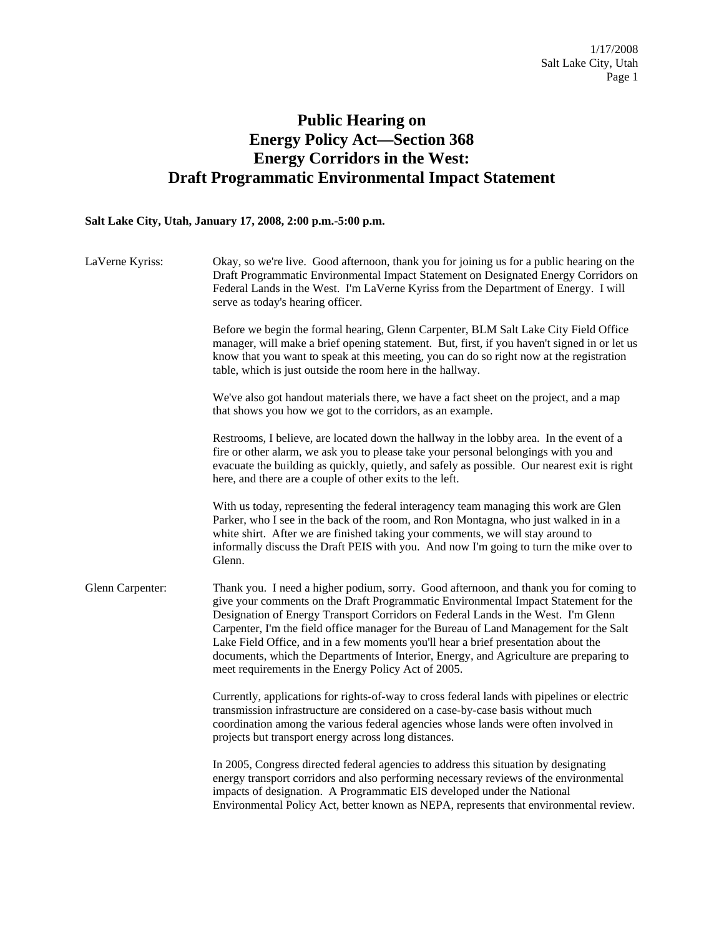## **Public Hearing on Energy Policy Act—Section 368 Energy Corridors in the West: Draft Programmatic Environmental Impact Statement**

## **Salt Lake City, Utah, January 17, 2008, 2:00 p.m.-5:00 p.m.**

| LaVerne Kyriss:  | Okay, so we're live. Good afternoon, thank you for joining us for a public hearing on the<br>Draft Programmatic Environmental Impact Statement on Designated Energy Corridors on<br>Federal Lands in the West. I'm LaVerne Kyriss from the Department of Energy. I will<br>serve as today's hearing officer.                                                                                                                                                                                                                                                                                       |
|------------------|----------------------------------------------------------------------------------------------------------------------------------------------------------------------------------------------------------------------------------------------------------------------------------------------------------------------------------------------------------------------------------------------------------------------------------------------------------------------------------------------------------------------------------------------------------------------------------------------------|
|                  | Before we begin the formal hearing, Glenn Carpenter, BLM Salt Lake City Field Office<br>manager, will make a brief opening statement. But, first, if you haven't signed in or let us<br>know that you want to speak at this meeting, you can do so right now at the registration<br>table, which is just outside the room here in the hallway.                                                                                                                                                                                                                                                     |
|                  | We've also got handout materials there, we have a fact sheet on the project, and a map<br>that shows you how we got to the corridors, as an example.                                                                                                                                                                                                                                                                                                                                                                                                                                               |
|                  | Restrooms, I believe, are located down the hallway in the lobby area. In the event of a<br>fire or other alarm, we ask you to please take your personal belongings with you and<br>evacuate the building as quickly, quietly, and safely as possible. Our nearest exit is right<br>here, and there are a couple of other exits to the left.                                                                                                                                                                                                                                                        |
|                  | With us today, representing the federal interagency team managing this work are Glen<br>Parker, who I see in the back of the room, and Ron Montagna, who just walked in in a<br>white shirt. After we are finished taking your comments, we will stay around to<br>informally discuss the Draft PEIS with you. And now I'm going to turn the mike over to<br>Glenn.                                                                                                                                                                                                                                |
| Glenn Carpenter: | Thank you. I need a higher podium, sorry. Good afternoon, and thank you for coming to<br>give your comments on the Draft Programmatic Environmental Impact Statement for the<br>Designation of Energy Transport Corridors on Federal Lands in the West. I'm Glenn<br>Carpenter, I'm the field office manager for the Bureau of Land Management for the Salt<br>Lake Field Office, and in a few moments you'll hear a brief presentation about the<br>documents, which the Departments of Interior, Energy, and Agriculture are preparing to<br>meet requirements in the Energy Policy Act of 2005. |
|                  | Currently, applications for rights-of-way to cross federal lands with pipelines or electric<br>transmission infrastructure are considered on a case-by-case basis without much<br>coordination among the various federal agencies whose lands were often involved in<br>projects but transport energy across long distances.                                                                                                                                                                                                                                                                       |
|                  | In 2005, Congress directed federal agencies to address this situation by designating<br>energy transport corridors and also performing necessary reviews of the environmental<br>impacts of designation. A Programmatic EIS developed under the National<br>Environmental Policy Act, better known as NEPA, represents that environmental review.                                                                                                                                                                                                                                                  |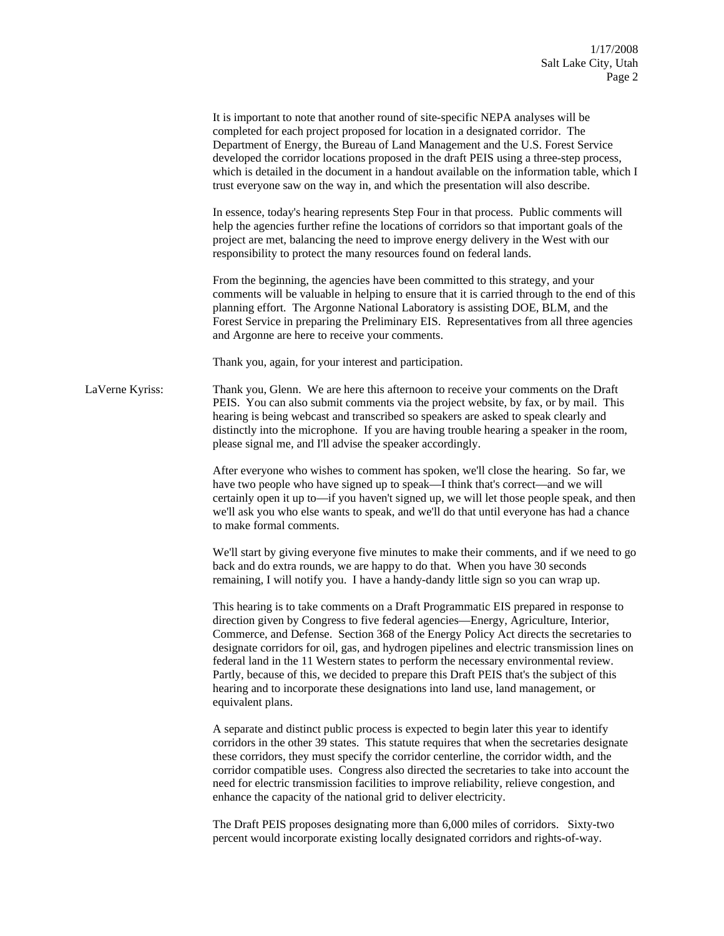|                 | It is important to note that another round of site-specific NEPA analyses will be<br>completed for each project proposed for location in a designated corridor. The<br>Department of Energy, the Bureau of Land Management and the U.S. Forest Service<br>developed the corridor locations proposed in the draft PEIS using a three-step process,<br>which is detailed in the document in a handout available on the information table, which I<br>trust everyone saw on the way in, and which the presentation will also describe.<br>In essence, today's hearing represents Step Four in that process. Public comments will<br>help the agencies further refine the locations of corridors so that important goals of the<br>project are met, balancing the need to improve energy delivery in the West with our<br>responsibility to protect the many resources found on federal lands.<br>From the beginning, the agencies have been committed to this strategy, and your<br>comments will be valuable in helping to ensure that it is carried through to the end of this<br>planning effort. The Argonne National Laboratory is assisting DOE, BLM, and the<br>Forest Service in preparing the Preliminary EIS. Representatives from all three agencies<br>and Argonne are here to receive your comments. |
|-----------------|----------------------------------------------------------------------------------------------------------------------------------------------------------------------------------------------------------------------------------------------------------------------------------------------------------------------------------------------------------------------------------------------------------------------------------------------------------------------------------------------------------------------------------------------------------------------------------------------------------------------------------------------------------------------------------------------------------------------------------------------------------------------------------------------------------------------------------------------------------------------------------------------------------------------------------------------------------------------------------------------------------------------------------------------------------------------------------------------------------------------------------------------------------------------------------------------------------------------------------------------------------------------------------------------------------------|
|                 | Thank you, again, for your interest and participation.                                                                                                                                                                                                                                                                                                                                                                                                                                                                                                                                                                                                                                                                                                                                                                                                                                                                                                                                                                                                                                                                                                                                                                                                                                                         |
| LaVerne Kyriss: | Thank you, Glenn. We are here this afternoon to receive your comments on the Draft<br>PEIS. You can also submit comments via the project website, by fax, or by mail. This<br>hearing is being webcast and transcribed so speakers are asked to speak clearly and<br>distinctly into the microphone. If you are having trouble hearing a speaker in the room,<br>please signal me, and I'll advise the speaker accordingly.                                                                                                                                                                                                                                                                                                                                                                                                                                                                                                                                                                                                                                                                                                                                                                                                                                                                                    |
|                 | After everyone who wishes to comment has spoken, we'll close the hearing. So far, we<br>have two people who have signed up to speak—I think that's correct—and we will<br>certainly open it up to—if you haven't signed up, we will let those people speak, and then<br>we'll ask you who else wants to speak, and we'll do that until everyone has had a chance<br>to make formal comments.                                                                                                                                                                                                                                                                                                                                                                                                                                                                                                                                                                                                                                                                                                                                                                                                                                                                                                                   |
|                 | We'll start by giving everyone five minutes to make their comments, and if we need to go<br>back and do extra rounds, we are happy to do that. When you have 30 seconds<br>remaining, I will notify you. I have a handy-dandy little sign so you can wrap up.                                                                                                                                                                                                                                                                                                                                                                                                                                                                                                                                                                                                                                                                                                                                                                                                                                                                                                                                                                                                                                                  |
|                 | This hearing is to take comments on a Draft Programmatic EIS prepared in response to<br>direction given by Congress to five federal agencies—Energy, Agriculture, Interior,<br>Commerce, and Defense. Section 368 of the Energy Policy Act directs the secretaries to<br>designate corridors for oil, gas, and hydrogen pipelines and electric transmission lines on<br>federal land in the 11 Western states to perform the necessary environmental review.<br>Partly, because of this, we decided to prepare this Draft PEIS that's the subject of this<br>hearing and to incorporate these designations into land use, land management, or<br>equivalent plans.                                                                                                                                                                                                                                                                                                                                                                                                                                                                                                                                                                                                                                             |
|                 | A separate and distinct public process is expected to begin later this year to identify<br>corridors in the other 39 states. This statute requires that when the secretaries designate<br>these corridors, they must specify the corridor centerline, the corridor width, and the<br>corridor compatible uses. Congress also directed the secretaries to take into account the<br>need for electric transmission facilities to improve reliability, relieve congestion, and<br>enhance the capacity of the national grid to deliver electricity.                                                                                                                                                                                                                                                                                                                                                                                                                                                                                                                                                                                                                                                                                                                                                               |
|                 | The Draft PEIS proposes designating more than 6,000 miles of corridors. Sixty-two<br>percent would incorporate existing locally designated corridors and rights-of-way.                                                                                                                                                                                                                                                                                                                                                                                                                                                                                                                                                                                                                                                                                                                                                                                                                                                                                                                                                                                                                                                                                                                                        |
|                 |                                                                                                                                                                                                                                                                                                                                                                                                                                                                                                                                                                                                                                                                                                                                                                                                                                                                                                                                                                                                                                                                                                                                                                                                                                                                                                                |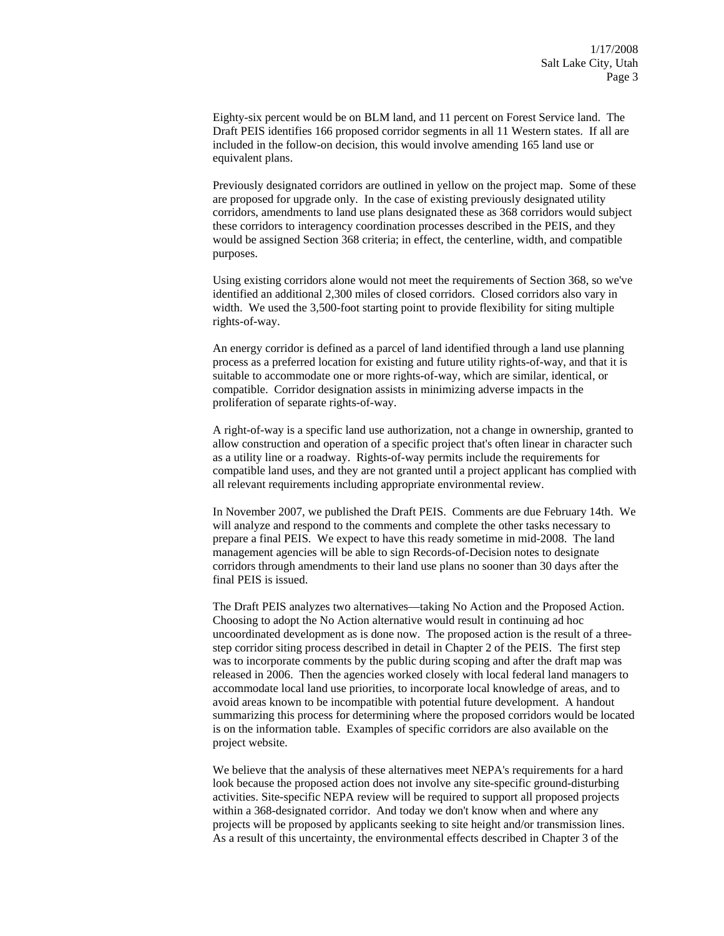Eighty-six percent would be on BLM land, and 11 percent on Forest Service land. The Draft PEIS identifies 166 proposed corridor segments in all 11 Western states. If all are included in the follow-on decision, this would involve amending 165 land use or equivalent plans.

Previously designated corridors are outlined in yellow on the project map. Some of these are proposed for upgrade only. In the case of existing previously designated utility corridors, amendments to land use plans designated these as 368 corridors would subject these corridors to interagency coordination processes described in the PEIS, and they would be assigned Section 368 criteria; in effect, the centerline, width, and compatible purposes.

Using existing corridors alone would not meet the requirements of Section 368, so we've identified an additional 2,300 miles of closed corridors. Closed corridors also vary in width. We used the 3,500-foot starting point to provide flexibility for siting multiple rights-of-way.

An energy corridor is defined as a parcel of land identified through a land use planning process as a preferred location for existing and future utility rights-of-way, and that it is suitable to accommodate one or more rights-of-way, which are similar, identical, or compatible. Corridor designation assists in minimizing adverse impacts in the proliferation of separate rights-of-way.

A right-of-way is a specific land use authorization, not a change in ownership, granted to allow construction and operation of a specific project that's often linear in character such as a utility line or a roadway. Rights-of-way permits include the requirements for compatible land uses, and they are not granted until a project applicant has complied with all relevant requirements including appropriate environmental review.

In November 2007, we published the Draft PEIS. Comments are due February 14th. We will analyze and respond to the comments and complete the other tasks necessary to prepare a final PEIS. We expect to have this ready sometime in mid-2008. The land management agencies will be able to sign Records-of-Decision notes to designate corridors through amendments to their land use plans no sooner than 30 days after the final PEIS is issued.

The Draft PEIS analyzes two alternatives—taking No Action and the Proposed Action. Choosing to adopt the No Action alternative would result in continuing ad hoc uncoordinated development as is done now. The proposed action is the result of a threestep corridor siting process described in detail in Chapter 2 of the PEIS. The first step was to incorporate comments by the public during scoping and after the draft map was released in 2006. Then the agencies worked closely with local federal land managers to accommodate local land use priorities, to incorporate local knowledge of areas, and to avoid areas known to be incompatible with potential future development. A handout summarizing this process for determining where the proposed corridors would be located is on the information table. Examples of specific corridors are also available on the project website.

We believe that the analysis of these alternatives meet NEPA's requirements for a hard look because the proposed action does not involve any site-specific ground-disturbing activities. Site-specific NEPA review will be required to support all proposed projects within a 368-designated corridor. And today we don't know when and where any projects will be proposed by applicants seeking to site height and/or transmission lines. As a result of this uncertainty, the environmental effects described in Chapter 3 of the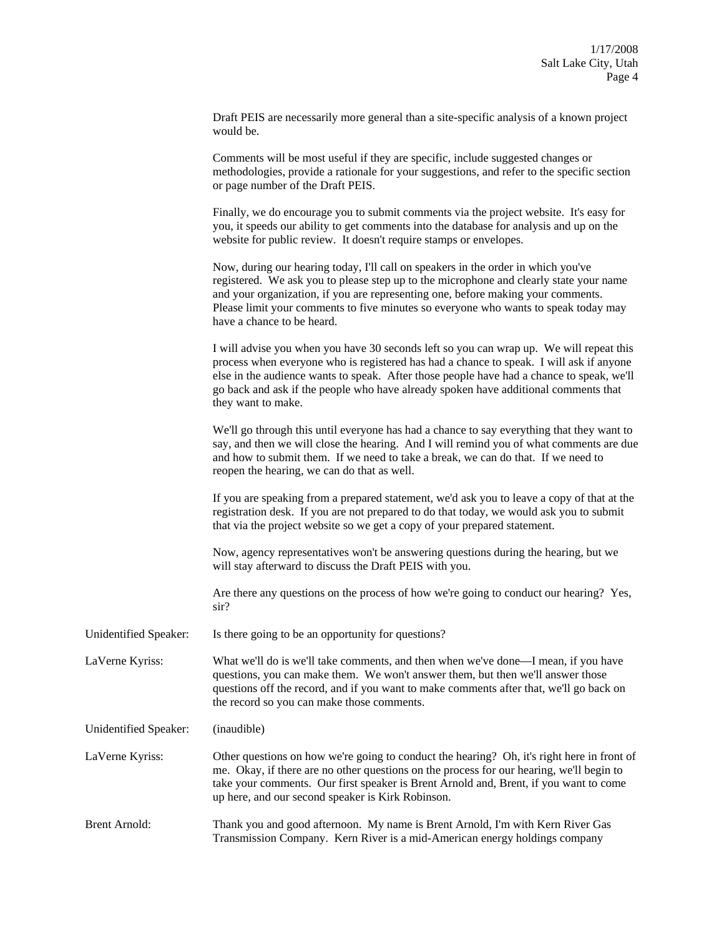Draft PEIS are necessarily more general than a site-specific analysis of a known project would be.

Comments will be most useful if they are specific, include suggested changes or methodologies, provide a rationale for your suggestions, and refer to the specific section or page number of the Draft PEIS.

Finally, we do encourage you to submit comments via the project website. It's easy for you, it speeds our ability to get comments into the database for analysis and up on the website for public review. It doesn't require stamps or envelopes.

Now, during our hearing today, I'll call on speakers in the order in which you've registered. We ask you to please step up to the microphone and clearly state your name and your organization, if you are representing one, before making your comments. Please limit your comments to five minutes so everyone who wants to speak today may have a chance to be heard.

I will advise you when you have 30 seconds left so you can wrap up. We will repeat this process when everyone who is registered has had a chance to speak. I will ask if anyone else in the audience wants to speak. After those people have had a chance to speak, we'll go back and ask if the people who have already spoken have additional comments that they want to make.

We'll go through this until everyone has had a chance to say everything that they want to say, and then we will close the hearing. And I will remind you of what comments are due and how to submit them. If we need to take a break, we can do that. If we need to reopen the hearing, we can do that as well.

If you are speaking from a prepared statement, we'd ask you to leave a copy of that at the registration desk. If you are not prepared to do that today, we would ask you to submit that via the project website so we get a copy of your prepared statement.

Now, agency representatives won't be answering questions during the hearing, but we will stay afterward to discuss the Draft PEIS with you.

Are there any questions on the process of how we're going to conduct our hearing? Yes, sir?

Unidentified Speaker: Is there going to be an opportunity for questions?

LaVerne Kyriss: What we'll do is we'll take comments, and then when we've done—I mean, if you have questions, you can make them. We won't answer them, but then we'll answer those questions off the record, and if you want to make comments after that, we'll go back on the record so you can make those comments.

Unidentified Speaker: (inaudible)

LaVerne Kyriss: Other questions on how we're going to conduct the hearing? Oh, it's right here in front of me. Okay, if there are no other questions on the process for our hearing, we'll begin to take your comments. Our first speaker is Brent Arnold and, Brent, if you want to come up here, and our second speaker is Kirk Robinson.

Brent Arnold: Thank you and good afternoon. My name is Brent Arnold, I'm with Kern River Gas Transmission Company. Kern River is a mid-American energy holdings company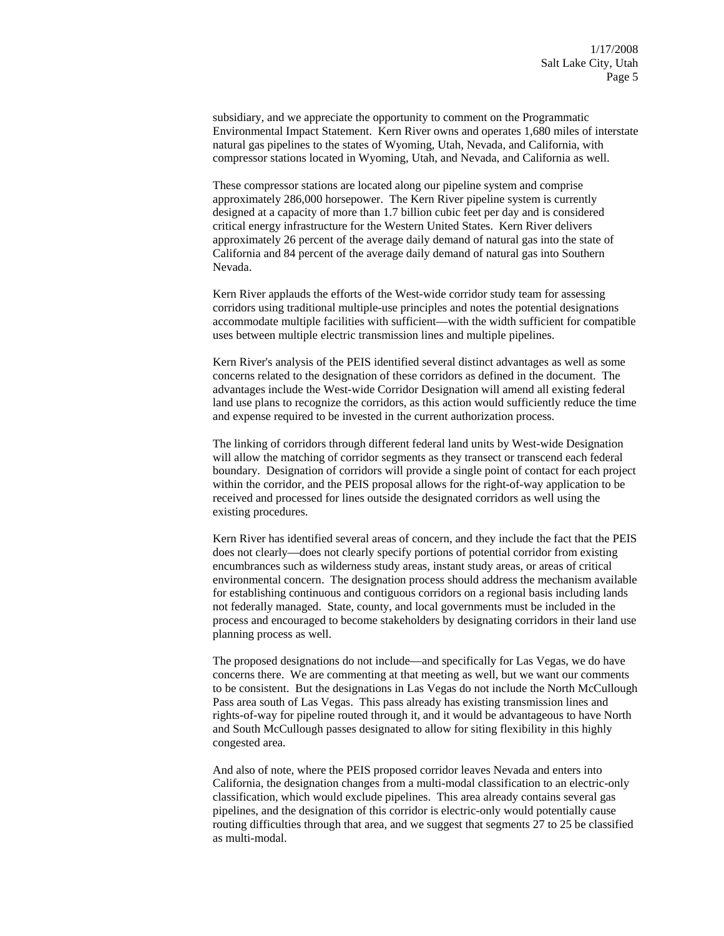subsidiary, and we appreciate the opportunity to comment on the Programmatic Environmental Impact Statement. Kern River owns and operates 1,680 miles of interstate natural gas pipelines to the states of Wyoming, Utah, Nevada, and California, with compressor stations located in Wyoming, Utah, and Nevada, and California as well.

These compressor stations are located along our pipeline system and comprise approximately 286,000 horsepower. The Kern River pipeline system is currently designed at a capacity of more than 1.7 billion cubic feet per day and is considered critical energy infrastructure for the Western United States. Kern River delivers approximately 26 percent of the average daily demand of natural gas into the state of California and 84 percent of the average daily demand of natural gas into Southern Nevada.

Kern River applauds the efforts of the West-wide corridor study team for assessing corridors using traditional multiple-use principles and notes the potential designations accommodate multiple facilities with sufficient—with the width sufficient for compatible uses between multiple electric transmission lines and multiple pipelines.

Kern River's analysis of the PEIS identified several distinct advantages as well as some concerns related to the designation of these corridors as defined in the document. The advantages include the West-wide Corridor Designation will amend all existing federal land use plans to recognize the corridors, as this action would sufficiently reduce the time and expense required to be invested in the current authorization process.

The linking of corridors through different federal land units by West-wide Designation will allow the matching of corridor segments as they transect or transcend each federal boundary. Designation of corridors will provide a single point of contact for each project within the corridor, and the PEIS proposal allows for the right-of-way application to be received and processed for lines outside the designated corridors as well using the existing procedures.

Kern River has identified several areas of concern, and they include the fact that the PEIS does not clearly—does not clearly specify portions of potential corridor from existing encumbrances such as wilderness study areas, instant study areas, or areas of critical environmental concern. The designation process should address the mechanism available for establishing continuous and contiguous corridors on a regional basis including lands not federally managed. State, county, and local governments must be included in the process and encouraged to become stakeholders by designating corridors in their land use planning process as well.

The proposed designations do not include—and specifically for Las Vegas, we do have concerns there. We are commenting at that meeting as well, but we want our comments to be consistent. But the designations in Las Vegas do not include the North McCullough Pass area south of Las Vegas. This pass already has existing transmission lines and rights-of-way for pipeline routed through it, and it would be advantageous to have North and South McCullough passes designated to allow for siting flexibility in this highly congested area.

And also of note, where the PEIS proposed corridor leaves Nevada and enters into California, the designation changes from a multi-modal classification to an electric-only classification, which would exclude pipelines. This area already contains several gas pipelines, and the designation of this corridor is electric-only would potentially cause routing difficulties through that area, and we suggest that segments 27 to 25 be classified as multi-modal.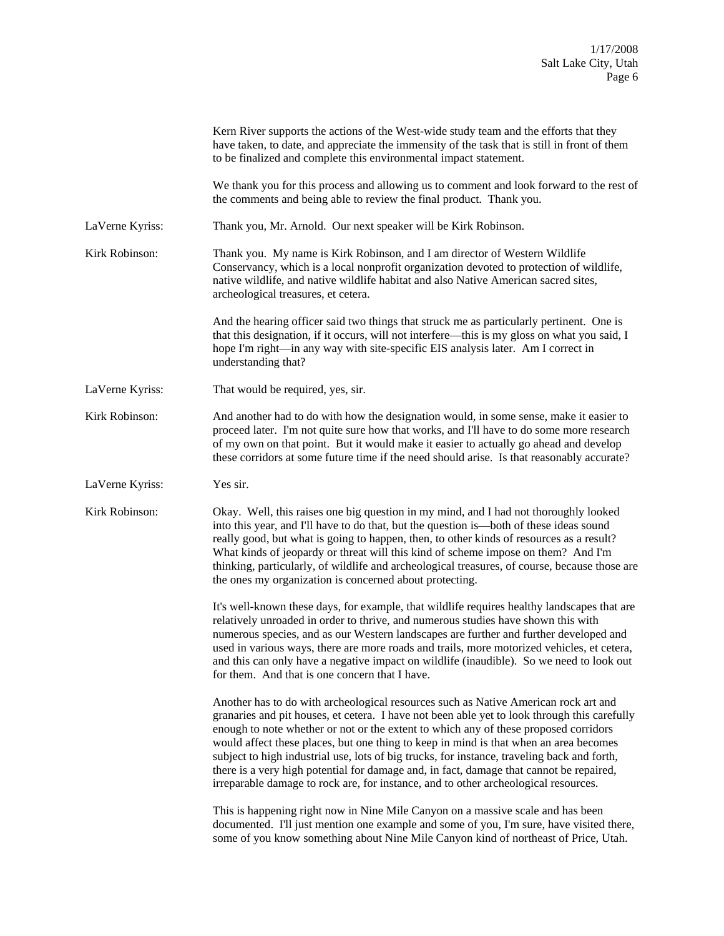|                 | Kern River supports the actions of the West-wide study team and the efforts that they<br>have taken, to date, and appreciate the immensity of the task that is still in front of them<br>to be finalized and complete this environmental impact statement.                                                                                                                                                                                                                                                                                                                                                                                            |
|-----------------|-------------------------------------------------------------------------------------------------------------------------------------------------------------------------------------------------------------------------------------------------------------------------------------------------------------------------------------------------------------------------------------------------------------------------------------------------------------------------------------------------------------------------------------------------------------------------------------------------------------------------------------------------------|
|                 | We thank you for this process and allowing us to comment and look forward to the rest of<br>the comments and being able to review the final product. Thank you.                                                                                                                                                                                                                                                                                                                                                                                                                                                                                       |
| LaVerne Kyriss: | Thank you, Mr. Arnold. Our next speaker will be Kirk Robinson.                                                                                                                                                                                                                                                                                                                                                                                                                                                                                                                                                                                        |
| Kirk Robinson:  | Thank you. My name is Kirk Robinson, and I am director of Western Wildlife<br>Conservancy, which is a local nonprofit organization devoted to protection of wildlife,<br>native wildlife, and native wildlife habitat and also Native American sacred sites,<br>archeological treasures, et cetera.                                                                                                                                                                                                                                                                                                                                                   |
|                 | And the hearing officer said two things that struck me as particularly pertinent. One is<br>that this designation, if it occurs, will not interfere—this is my gloss on what you said, I<br>hope I'm right—in any way with site-specific EIS analysis later. Am I correct in<br>understanding that?                                                                                                                                                                                                                                                                                                                                                   |
| LaVerne Kyriss: | That would be required, yes, sir.                                                                                                                                                                                                                                                                                                                                                                                                                                                                                                                                                                                                                     |
| Kirk Robinson:  | And another had to do with how the designation would, in some sense, make it easier to<br>proceed later. I'm not quite sure how that works, and I'll have to do some more research<br>of my own on that point. But it would make it easier to actually go ahead and develop<br>these corridors at some future time if the need should arise. Is that reasonably accurate?                                                                                                                                                                                                                                                                             |
| LaVerne Kyriss: | Yes sir.                                                                                                                                                                                                                                                                                                                                                                                                                                                                                                                                                                                                                                              |
| Kirk Robinson:  | Okay. Well, this raises one big question in my mind, and I had not thoroughly looked<br>into this year, and I'll have to do that, but the question is—both of these ideas sound<br>really good, but what is going to happen, then, to other kinds of resources as a result?<br>What kinds of jeopardy or threat will this kind of scheme impose on them? And I'm<br>thinking, particularly, of wildlife and archeological treasures, of course, because those are<br>the ones my organization is concerned about protecting.                                                                                                                          |
|                 | It's well-known these days, for example, that wildlife requires healthy landscapes that are<br>relatively unroaded in order to thrive, and numerous studies have shown this with<br>numerous species, and as our Western landscapes are further and further developed and<br>used in various ways, there are more roads and trails, more motorized vehicles, et cetera,<br>and this can only have a negative impact on wildlife (inaudible). So we need to look out<br>for them. And that is one concern that I have.                                                                                                                                 |
|                 | Another has to do with archeological resources such as Native American rock art and<br>granaries and pit houses, et cetera. I have not been able yet to look through this carefully<br>enough to note whether or not or the extent to which any of these proposed corridors<br>would affect these places, but one thing to keep in mind is that when an area becomes<br>subject to high industrial use, lots of big trucks, for instance, traveling back and forth,<br>there is a very high potential for damage and, in fact, damage that cannot be repaired,<br>irreparable damage to rock are, for instance, and to other archeological resources. |
|                 | This is happening right now in Nine Mile Canyon on a massive scale and has been<br>documented. I'll just mention one example and some of you, I'm sure, have visited there,<br>some of you know something about Nine Mile Canyon kind of northeast of Price, Utah.                                                                                                                                                                                                                                                                                                                                                                                    |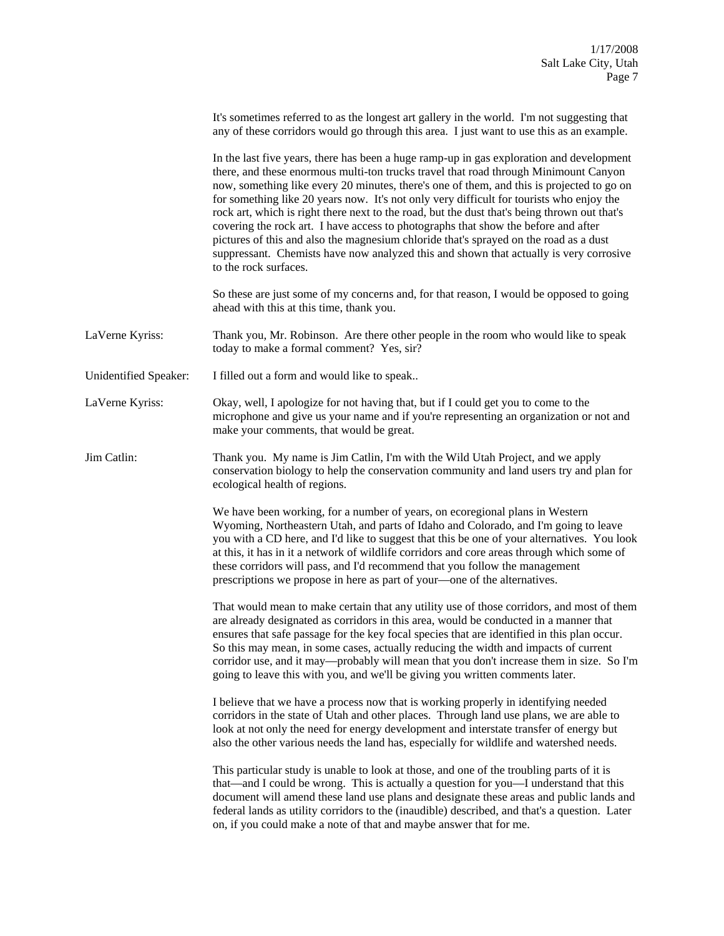|                       | It's sometimes referred to as the longest art gallery in the world. I'm not suggesting that<br>any of these corridors would go through this area. I just want to use this as an example.                                                                                                                                                                                                                                                                                                                                                                                                                                                                                                                                                                                    |
|-----------------------|-----------------------------------------------------------------------------------------------------------------------------------------------------------------------------------------------------------------------------------------------------------------------------------------------------------------------------------------------------------------------------------------------------------------------------------------------------------------------------------------------------------------------------------------------------------------------------------------------------------------------------------------------------------------------------------------------------------------------------------------------------------------------------|
|                       | In the last five years, there has been a huge ramp-up in gas exploration and development<br>there, and these enormous multi-ton trucks travel that road through Minimount Canyon<br>now, something like every 20 minutes, there's one of them, and this is projected to go on<br>for something like 20 years now. It's not only very difficult for tourists who enjoy the<br>rock art, which is right there next to the road, but the dust that's being thrown out that's<br>covering the rock art. I have access to photographs that show the before and after<br>pictures of this and also the magnesium chloride that's sprayed on the road as a dust<br>suppressant. Chemists have now analyzed this and shown that actually is very corrosive<br>to the rock surfaces. |
|                       | So these are just some of my concerns and, for that reason, I would be opposed to going<br>ahead with this at this time, thank you.                                                                                                                                                                                                                                                                                                                                                                                                                                                                                                                                                                                                                                         |
| LaVerne Kyriss:       | Thank you, Mr. Robinson. Are there other people in the room who would like to speak<br>today to make a formal comment? Yes, sir?                                                                                                                                                                                                                                                                                                                                                                                                                                                                                                                                                                                                                                            |
| Unidentified Speaker: | I filled out a form and would like to speak                                                                                                                                                                                                                                                                                                                                                                                                                                                                                                                                                                                                                                                                                                                                 |
| LaVerne Kyriss:       | Okay, well, I apologize for not having that, but if I could get you to come to the<br>microphone and give us your name and if you're representing an organization or not and<br>make your comments, that would be great.                                                                                                                                                                                                                                                                                                                                                                                                                                                                                                                                                    |
| Jim Catlin:           | Thank you. My name is Jim Catlin, I'm with the Wild Utah Project, and we apply<br>conservation biology to help the conservation community and land users try and plan for<br>ecological health of regions.                                                                                                                                                                                                                                                                                                                                                                                                                                                                                                                                                                  |
|                       | We have been working, for a number of years, on ecoregional plans in Western<br>Wyoming, Northeastern Utah, and parts of Idaho and Colorado, and I'm going to leave<br>you with a CD here, and I'd like to suggest that this be one of your alternatives. You look<br>at this, it has in it a network of wildlife corridors and core areas through which some of<br>these corridors will pass, and I'd recommend that you follow the management<br>prescriptions we propose in here as part of your—one of the alternatives.                                                                                                                                                                                                                                                |
|                       | That would mean to make certain that any utility use of those corridors, and most of them<br>are already designated as corridors in this area, would be conducted in a manner that<br>ensures that safe passage for the key focal species that are identified in this plan occur.<br>So this may mean, in some cases, actually reducing the width and impacts of current<br>corridor use, and it may—probably will mean that you don't increase them in size. So I'm<br>going to leave this with you, and we'll be giving you written comments later.                                                                                                                                                                                                                       |
|                       | I believe that we have a process now that is working properly in identifying needed<br>corridors in the state of Utah and other places. Through land use plans, we are able to<br>look at not only the need for energy development and interstate transfer of energy but<br>also the other various needs the land has, especially for wildlife and watershed needs.                                                                                                                                                                                                                                                                                                                                                                                                         |
|                       | This particular study is unable to look at those, and one of the troubling parts of it is<br>that—and I could be wrong. This is actually a question for you—I understand that this<br>document will amend these land use plans and designate these areas and public lands and<br>federal lands as utility corridors to the (inaudible) described, and that's a question. Later<br>on, if you could make a note of that and maybe answer that for me.                                                                                                                                                                                                                                                                                                                        |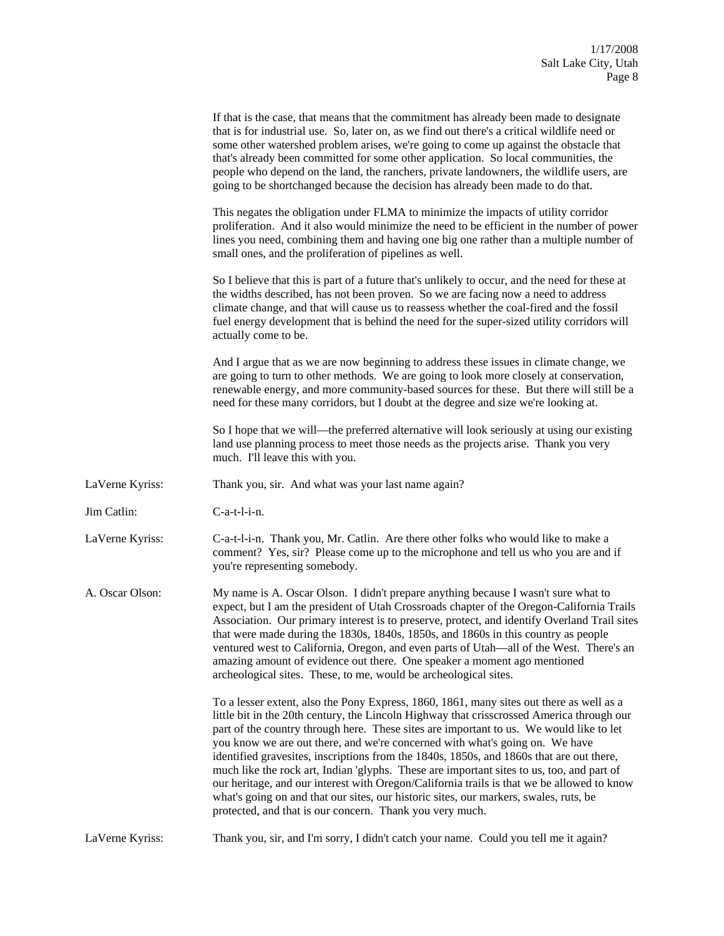|                 | If that is the case, that means that the commitment has already been made to designate<br>that is for industrial use. So, later on, as we find out there's a critical wildlife need or<br>some other watershed problem arises, we're going to come up against the obstacle that<br>that's already been committed for some other application. So local communities, the<br>people who depend on the land, the ranchers, private landowners, the wildlife users, are<br>going to be shortchanged because the decision has already been made to do that.                                                                                                                                                                                                                                                        |
|-----------------|--------------------------------------------------------------------------------------------------------------------------------------------------------------------------------------------------------------------------------------------------------------------------------------------------------------------------------------------------------------------------------------------------------------------------------------------------------------------------------------------------------------------------------------------------------------------------------------------------------------------------------------------------------------------------------------------------------------------------------------------------------------------------------------------------------------|
|                 | This negates the obligation under FLMA to minimize the impacts of utility corridor<br>proliferation. And it also would minimize the need to be efficient in the number of power<br>lines you need, combining them and having one big one rather than a multiple number of<br>small ones, and the proliferation of pipelines as well.                                                                                                                                                                                                                                                                                                                                                                                                                                                                         |
|                 | So I believe that this is part of a future that's unlikely to occur, and the need for these at<br>the widths described, has not been proven. So we are facing now a need to address<br>climate change, and that will cause us to reassess whether the coal-fired and the fossil<br>fuel energy development that is behind the need for the super-sized utility corridors will<br>actually come to be.                                                                                                                                                                                                                                                                                                                                                                                                        |
|                 | And I argue that as we are now beginning to address these issues in climate change, we<br>are going to turn to other methods. We are going to look more closely at conservation,<br>renewable energy, and more community-based sources for these. But there will still be a<br>need for these many corridors, but I doubt at the degree and size we're looking at.                                                                                                                                                                                                                                                                                                                                                                                                                                           |
|                 | So I hope that we will—the preferred alternative will look seriously at using our existing<br>land use planning process to meet those needs as the projects arise. Thank you very<br>much. I'll leave this with you.                                                                                                                                                                                                                                                                                                                                                                                                                                                                                                                                                                                         |
| LaVerne Kyriss: | Thank you, sir. And what was your last name again?                                                                                                                                                                                                                                                                                                                                                                                                                                                                                                                                                                                                                                                                                                                                                           |
| Jim Catlin:     | C-a-t-l-i-n.                                                                                                                                                                                                                                                                                                                                                                                                                                                                                                                                                                                                                                                                                                                                                                                                 |
| LaVerne Kyriss: | C-a-t-l-i-n. Thank you, Mr. Catlin. Are there other folks who would like to make a<br>comment? Yes, sir? Please come up to the microphone and tell us who you are and if<br>you're representing somebody.                                                                                                                                                                                                                                                                                                                                                                                                                                                                                                                                                                                                    |
| A. Oscar Olson: | My name is A. Oscar Olson. I didn't prepare anything because I wasn't sure what to<br>expect, but I am the president of Utah Crossroads chapter of the Oregon-California Trails<br>Association. Our primary interest is to preserve, protect, and identify Overland Trail sites<br>that were made during the 1830s, 1840s, 1850s, and 1860s in this country as people<br>ventured west to California, Oregon, and even parts of Utah-all of the West. There's an<br>amazing amount of evidence out there. One speaker a moment ago mentioned<br>archeological sites. These, to me, would be archeological sites.                                                                                                                                                                                             |
|                 | To a lesser extent, also the Pony Express, 1860, 1861, many sites out there as well as a<br>little bit in the 20th century, the Lincoln Highway that crisscrossed America through our<br>part of the country through here. These sites are important to us. We would like to let<br>you know we are out there, and we're concerned with what's going on. We have<br>identified gravesites, inscriptions from the 1840s, 1850s, and 1860s that are out there,<br>much like the rock art, Indian 'glyphs. These are important sites to us, too, and part of<br>our heritage, and our interest with Oregon/California trails is that we be allowed to know<br>what's going on and that our sites, our historic sites, our markers, swales, ruts, be<br>protected, and that is our concern. Thank you very much. |
| LaVerne Kyriss: | Thank you, sir, and I'm sorry, I didn't catch your name. Could you tell me it again?                                                                                                                                                                                                                                                                                                                                                                                                                                                                                                                                                                                                                                                                                                                         |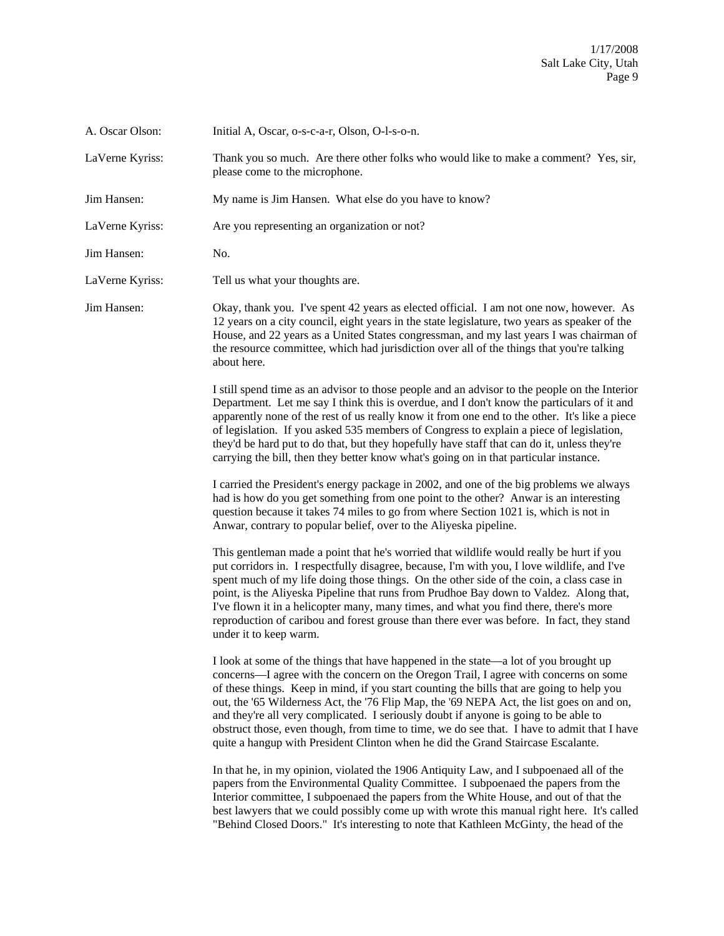| A. Oscar Olson: | Initial A, Oscar, o-s-c-a-r, Olson, O-l-s-o-n.                                                                                                                                                                                                                                                                                                                                                                                                                                                                                                                                                                                                    |
|-----------------|---------------------------------------------------------------------------------------------------------------------------------------------------------------------------------------------------------------------------------------------------------------------------------------------------------------------------------------------------------------------------------------------------------------------------------------------------------------------------------------------------------------------------------------------------------------------------------------------------------------------------------------------------|
| LaVerne Kyriss: | Thank you so much. Are there other folks who would like to make a comment? Yes, sir,<br>please come to the microphone.                                                                                                                                                                                                                                                                                                                                                                                                                                                                                                                            |
| Jim Hansen:     | My name is Jim Hansen. What else do you have to know?                                                                                                                                                                                                                                                                                                                                                                                                                                                                                                                                                                                             |
| LaVerne Kyriss: | Are you representing an organization or not?                                                                                                                                                                                                                                                                                                                                                                                                                                                                                                                                                                                                      |
| Jim Hansen:     | No.                                                                                                                                                                                                                                                                                                                                                                                                                                                                                                                                                                                                                                               |
| LaVerne Kyriss: | Tell us what your thoughts are.                                                                                                                                                                                                                                                                                                                                                                                                                                                                                                                                                                                                                   |
| Jim Hansen:     | Okay, thank you. I've spent 42 years as elected official. I am not one now, however. As<br>12 years on a city council, eight years in the state legislature, two years as speaker of the<br>House, and 22 years as a United States congressman, and my last years I was chairman of<br>the resource committee, which had jurisdiction over all of the things that you're talking<br>about here.                                                                                                                                                                                                                                                   |
|                 | I still spend time as an advisor to those people and an advisor to the people on the Interior<br>Department. Let me say I think this is overdue, and I don't know the particulars of it and<br>apparently none of the rest of us really know it from one end to the other. It's like a piece<br>of legislation. If you asked 535 members of Congress to explain a piece of legislation,<br>they'd be hard put to do that, but they hopefully have staff that can do it, unless they're<br>carrying the bill, then they better know what's going on in that particular instance.                                                                   |
|                 | I carried the President's energy package in 2002, and one of the big problems we always<br>had is how do you get something from one point to the other? Anwar is an interesting<br>question because it takes 74 miles to go from where Section 1021 is, which is not in<br>Anwar, contrary to popular belief, over to the Aliyeska pipeline.                                                                                                                                                                                                                                                                                                      |
|                 | This gentleman made a point that he's worried that wildlife would really be hurt if you<br>put corridors in. I respectfully disagree, because, I'm with you, I love wildlife, and I've<br>spent much of my life doing those things. On the other side of the coin, a class case in<br>point, is the Aliyeska Pipeline that runs from Prudhoe Bay down to Valdez. Along that,<br>I've flown it in a helicopter many, many times, and what you find there, there's more<br>reproduction of caribou and forest grouse than there ever was before. In fact, they stand<br>under it to keep warm.                                                      |
|                 | I look at some of the things that have happened in the state—a lot of you brought up<br>concerns—I agree with the concern on the Oregon Trail, I agree with concerns on some<br>of these things. Keep in mind, if you start counting the bills that are going to help you<br>out, the '65 Wilderness Act, the '76 Flip Map, the '69 NEPA Act, the list goes on and on,<br>and they're all very complicated. I seriously doubt if anyone is going to be able to<br>obstruct those, even though, from time to time, we do see that. I have to admit that I have<br>quite a hangup with President Clinton when he did the Grand Staircase Escalante. |
|                 | In that he, in my opinion, violated the 1906 Antiquity Law, and I subpoenaed all of the<br>papers from the Environmental Quality Committee. I subpoenaed the papers from the<br>Interior committee, I subpoenaed the papers from the White House, and out of that the<br>best lawyers that we could possibly come up with wrote this manual right here. It's called<br>"Behind Closed Doors." It's interesting to note that Kathleen McGinty, the head of the                                                                                                                                                                                     |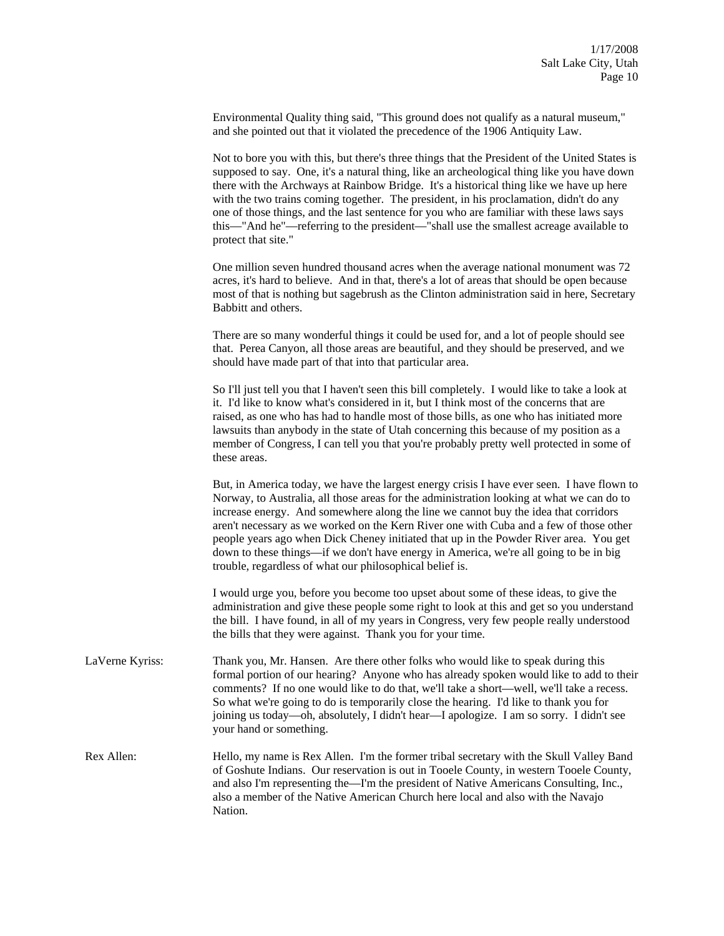Environmental Quality thing said, "This ground does not qualify as a natural museum," and she pointed out that it violated the precedence of the 1906 Antiquity Law.

Not to bore you with this, but there's three things that the President of the United States is supposed to say. One, it's a natural thing, like an archeological thing like you have down there with the Archways at Rainbow Bridge. It's a historical thing like we have up here with the two trains coming together. The president, in his proclamation, didn't do any one of those things, and the last sentence for you who are familiar with these laws says this—"And he"—referring to the president—"shall use the smallest acreage available to protect that site."

One million seven hundred thousand acres when the average national monument was 72 acres, it's hard to believe. And in that, there's a lot of areas that should be open because most of that is nothing but sagebrush as the Clinton administration said in here, Secretary Babbitt and others.

There are so many wonderful things it could be used for, and a lot of people should see that. Perea Canyon, all those areas are beautiful, and they should be preserved, and we should have made part of that into that particular area.

So I'll just tell you that I haven't seen this bill completely. I would like to take a look at it. I'd like to know what's considered in it, but I think most of the concerns that are raised, as one who has had to handle most of those bills, as one who has initiated more lawsuits than anybody in the state of Utah concerning this because of my position as a member of Congress, I can tell you that you're probably pretty well protected in some of these areas.

But, in America today, we have the largest energy crisis I have ever seen. I have flown to Norway, to Australia, all those areas for the administration looking at what we can do to increase energy. And somewhere along the line we cannot buy the idea that corridors aren't necessary as we worked on the Kern River one with Cuba and a few of those other people years ago when Dick Cheney initiated that up in the Powder River area. You get down to these things—if we don't have energy in America, we're all going to be in big trouble, regardless of what our philosophical belief is.

I would urge you, before you become too upset about some of these ideas, to give the administration and give these people some right to look at this and get so you understand the bill. I have found, in all of my years in Congress, very few people really understood the bills that they were against. Thank you for your time.

LaVerne Kyriss: Thank you, Mr. Hansen. Are there other folks who would like to speak during this formal portion of our hearing? Anyone who has already spoken would like to add to their comments? If no one would like to do that, we'll take a short—well, we'll take a recess. So what we're going to do is temporarily close the hearing. I'd like to thank you for joining us today—oh, absolutely, I didn't hear—I apologize. I am so sorry. I didn't see your hand or something.

Rex Allen: Hello, my name is Rex Allen. I'm the former tribal secretary with the Skull Valley Band of Goshute Indians. Our reservation is out in Tooele County, in western Tooele County, and also I'm representing the—I'm the president of Native Americans Consulting, Inc., also a member of the Native American Church here local and also with the Navajo Nation.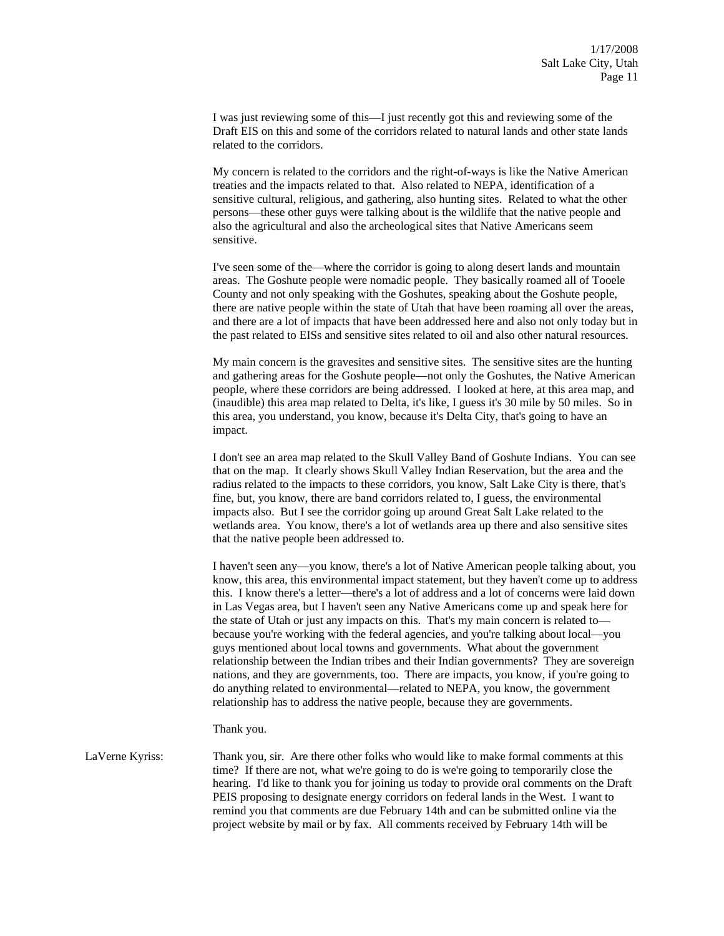I was just reviewing some of this—I just recently got this and reviewing some of the Draft EIS on this and some of the corridors related to natural lands and other state lands related to the corridors.

My concern is related to the corridors and the right-of-ways is like the Native American treaties and the impacts related to that. Also related to NEPA, identification of a sensitive cultural, religious, and gathering, also hunting sites. Related to what the other persons—these other guys were talking about is the wildlife that the native people and also the agricultural and also the archeological sites that Native Americans seem sensitive.

I've seen some of the—where the corridor is going to along desert lands and mountain areas. The Goshute people were nomadic people. They basically roamed all of Tooele County and not only speaking with the Goshutes, speaking about the Goshute people, there are native people within the state of Utah that have been roaming all over the areas, and there are a lot of impacts that have been addressed here and also not only today but in the past related to EISs and sensitive sites related to oil and also other natural resources.

My main concern is the gravesites and sensitive sites. The sensitive sites are the hunting and gathering areas for the Goshute people—not only the Goshutes, the Native American people, where these corridors are being addressed. I looked at here, at this area map, and (inaudible) this area map related to Delta, it's like, I guess it's 30 mile by 50 miles. So in this area, you understand, you know, because it's Delta City, that's going to have an impact.

I don't see an area map related to the Skull Valley Band of Goshute Indians. You can see that on the map. It clearly shows Skull Valley Indian Reservation, but the area and the radius related to the impacts to these corridors, you know, Salt Lake City is there, that's fine, but, you know, there are band corridors related to, I guess, the environmental impacts also. But I see the corridor going up around Great Salt Lake related to the wetlands area. You know, there's a lot of wetlands area up there and also sensitive sites that the native people been addressed to.

I haven't seen any—you know, there's a lot of Native American people talking about, you know, this area, this environmental impact statement, but they haven't come up to address this. I know there's a letter—there's a lot of address and a lot of concerns were laid down in Las Vegas area, but I haven't seen any Native Americans come up and speak here for the state of Utah or just any impacts on this. That's my main concern is related to because you're working with the federal agencies, and you're talking about local—you guys mentioned about local towns and governments. What about the government relationship between the Indian tribes and their Indian governments? They are sovereign nations, and they are governments, too. There are impacts, you know, if you're going to do anything related to environmental—related to NEPA, you know, the government relationship has to address the native people, because they are governments.

Thank you.

LaVerne Kyriss: Thank you, sir. Are there other folks who would like to make formal comments at this time? If there are not, what we're going to do is we're going to temporarily close the hearing. I'd like to thank you for joining us today to provide oral comments on the Draft PEIS proposing to designate energy corridors on federal lands in the West. I want to remind you that comments are due February 14th and can be submitted online via the project website by mail or by fax. All comments received by February 14th will be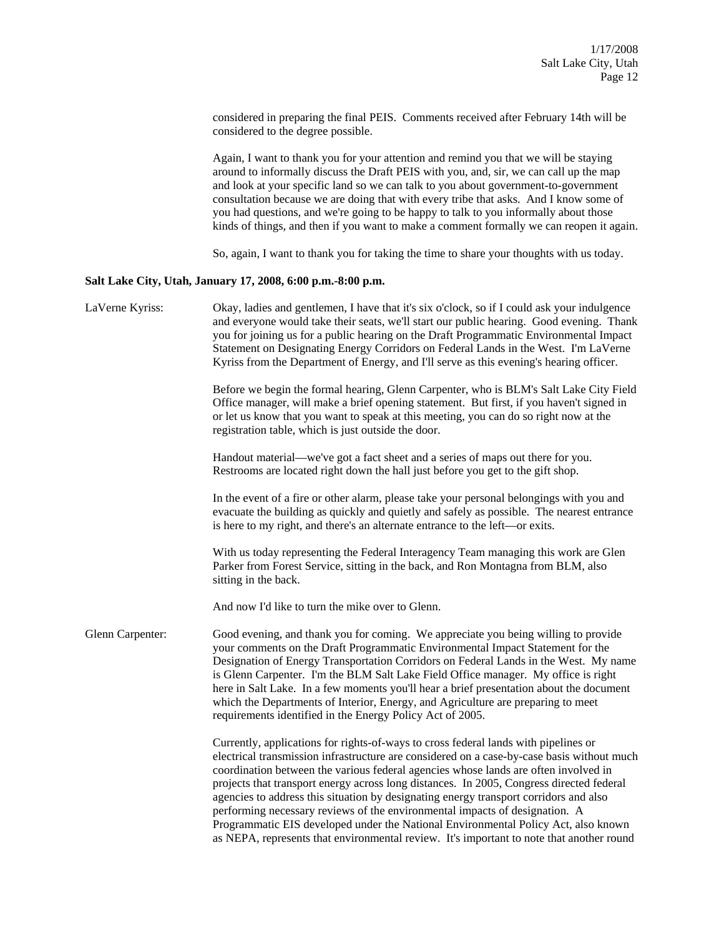considered in preparing the final PEIS. Comments received after February 14th will be considered to the degree possible.

Again, I want to thank you for your attention and remind you that we will be staying around to informally discuss the Draft PEIS with you, and, sir, we can call up the map and look at your specific land so we can talk to you about government-to-government consultation because we are doing that with every tribe that asks. And I know some of you had questions, and we're going to be happy to talk to you informally about those kinds of things, and then if you want to make a comment formally we can reopen it again.

So, again, I want to thank you for taking the time to share your thoughts with us today.

## **Salt Lake City, Utah, January 17, 2008, 6:00 p.m.-8:00 p.m.**

| LaVerne Kyriss:  | Okay, ladies and gentlemen, I have that it's six o'clock, so if I could ask your indulgence<br>and everyone would take their seats, we'll start our public hearing. Good evening. Thank<br>you for joining us for a public hearing on the Draft Programmatic Environmental Impact<br>Statement on Designating Energy Corridors on Federal Lands in the West. I'm LaVerne<br>Kyriss from the Department of Energy, and I'll serve as this evening's hearing officer.                                                                                                                                                                                                                                                            |
|------------------|--------------------------------------------------------------------------------------------------------------------------------------------------------------------------------------------------------------------------------------------------------------------------------------------------------------------------------------------------------------------------------------------------------------------------------------------------------------------------------------------------------------------------------------------------------------------------------------------------------------------------------------------------------------------------------------------------------------------------------|
|                  | Before we begin the formal hearing, Glenn Carpenter, who is BLM's Salt Lake City Field<br>Office manager, will make a brief opening statement. But first, if you haven't signed in<br>or let us know that you want to speak at this meeting, you can do so right now at the<br>registration table, which is just outside the door.                                                                                                                                                                                                                                                                                                                                                                                             |
|                  | Handout material—we've got a fact sheet and a series of maps out there for you.<br>Restrooms are located right down the hall just before you get to the gift shop.                                                                                                                                                                                                                                                                                                                                                                                                                                                                                                                                                             |
|                  | In the event of a fire or other alarm, please take your personal belongings with you and<br>evacuate the building as quickly and quietly and safely as possible. The nearest entrance<br>is here to my right, and there's an alternate entrance to the left—or exits.                                                                                                                                                                                                                                                                                                                                                                                                                                                          |
|                  | With us today representing the Federal Interagency Team managing this work are Glen<br>Parker from Forest Service, sitting in the back, and Ron Montagna from BLM, also<br>sitting in the back.                                                                                                                                                                                                                                                                                                                                                                                                                                                                                                                                |
|                  | And now I'd like to turn the mike over to Glenn.                                                                                                                                                                                                                                                                                                                                                                                                                                                                                                                                                                                                                                                                               |
| Glenn Carpenter: | Good evening, and thank you for coming. We appreciate you being willing to provide<br>your comments on the Draft Programmatic Environmental Impact Statement for the<br>Designation of Energy Transportation Corridors on Federal Lands in the West. My name<br>is Glenn Carpenter. I'm the BLM Salt Lake Field Office manager. My office is right<br>here in Salt Lake. In a few moments you'll hear a brief presentation about the document<br>which the Departments of Interior, Energy, and Agriculture are preparing to meet<br>requirements identified in the Energy Policy Act of 2005.                                                                                                                                 |
|                  | Currently, applications for rights-of-ways to cross federal lands with pipelines or<br>electrical transmission infrastructure are considered on a case-by-case basis without much<br>coordination between the various federal agencies whose lands are often involved in<br>projects that transport energy across long distances. In 2005, Congress directed federal<br>agencies to address this situation by designating energy transport corridors and also<br>performing necessary reviews of the environmental impacts of designation. A<br>Programmatic EIS developed under the National Environmental Policy Act, also known<br>as NEPA, represents that environmental review. It's important to note that another round |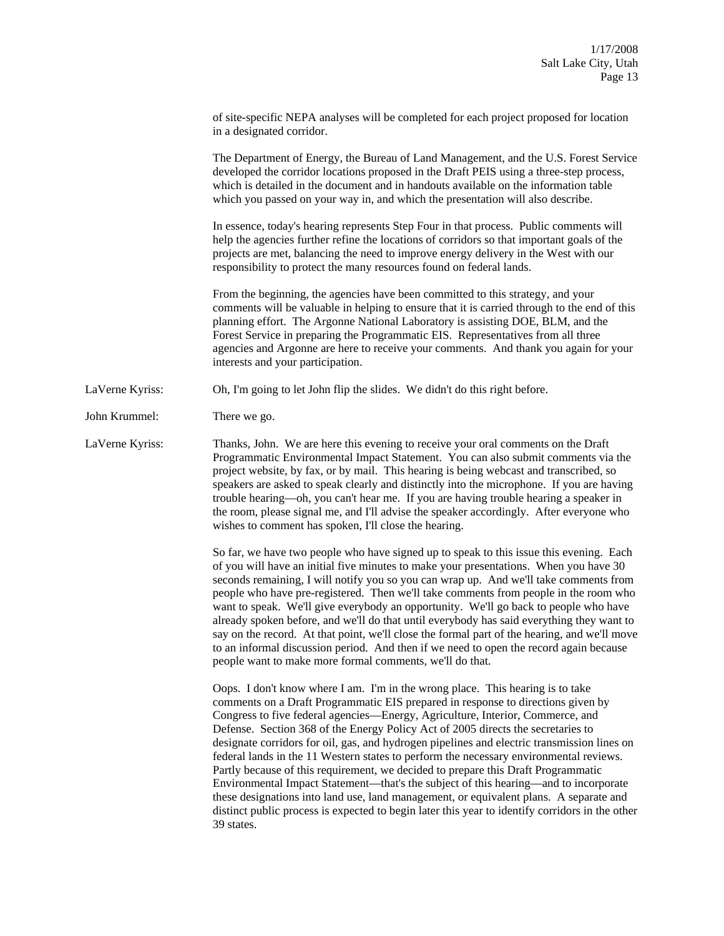|                           | of site-specific NEPA analyses will be completed for each project proposed for location |  |
|---------------------------|-----------------------------------------------------------------------------------------|--|
| in a designated corridor. |                                                                                         |  |

The Department of Energy, the Bureau of Land Management, and the U.S. Forest Service developed the corridor locations proposed in the Draft PEIS using a three-step process, which is detailed in the document and in handouts available on the information table which you passed on your way in, and which the presentation will also describe.

In essence, today's hearing represents Step Four in that process. Public comments will help the agencies further refine the locations of corridors so that important goals of the projects are met, balancing the need to improve energy delivery in the West with our responsibility to protect the many resources found on federal lands.

From the beginning, the agencies have been committed to this strategy, and your comments will be valuable in helping to ensure that it is carried through to the end of this planning effort. The Argonne National Laboratory is assisting DOE, BLM, and the Forest Service in preparing the Programmatic EIS. Representatives from all three agencies and Argonne are here to receive your comments. And thank you again for your interests and your participation.

- LaVerne Kyriss: Oh, I'm going to let John flip the slides. We didn't do this right before.
- John Krummel: There we go.

LaVerne Kyriss: Thanks, John. We are here this evening to receive your oral comments on the Draft Programmatic Environmental Impact Statement. You can also submit comments via the project website, by fax, or by mail. This hearing is being webcast and transcribed, so speakers are asked to speak clearly and distinctly into the microphone. If you are having trouble hearing—oh, you can't hear me. If you are having trouble hearing a speaker in the room, please signal me, and I'll advise the speaker accordingly. After everyone who wishes to comment has spoken, I'll close the hearing.

> So far, we have two people who have signed up to speak to this issue this evening. Each of you will have an initial five minutes to make your presentations. When you have 30 seconds remaining, I will notify you so you can wrap up. And we'll take comments from people who have pre-registered. Then we'll take comments from people in the room who want to speak. We'll give everybody an opportunity. We'll go back to people who have already spoken before, and we'll do that until everybody has said everything they want to say on the record. At that point, we'll close the formal part of the hearing, and we'll move to an informal discussion period. And then if we need to open the record again because people want to make more formal comments, we'll do that.

> Oops. I don't know where I am. I'm in the wrong place. This hearing is to take comments on a Draft Programmatic EIS prepared in response to directions given by Congress to five federal agencies—Energy, Agriculture, Interior, Commerce, and Defense. Section 368 of the Energy Policy Act of 2005 directs the secretaries to designate corridors for oil, gas, and hydrogen pipelines and electric transmission lines on federal lands in the 11 Western states to perform the necessary environmental reviews. Partly because of this requirement, we decided to prepare this Draft Programmatic Environmental Impact Statement—that's the subject of this hearing—and to incorporate these designations into land use, land management, or equivalent plans. A separate and distinct public process is expected to begin later this year to identify corridors in the other 39 states.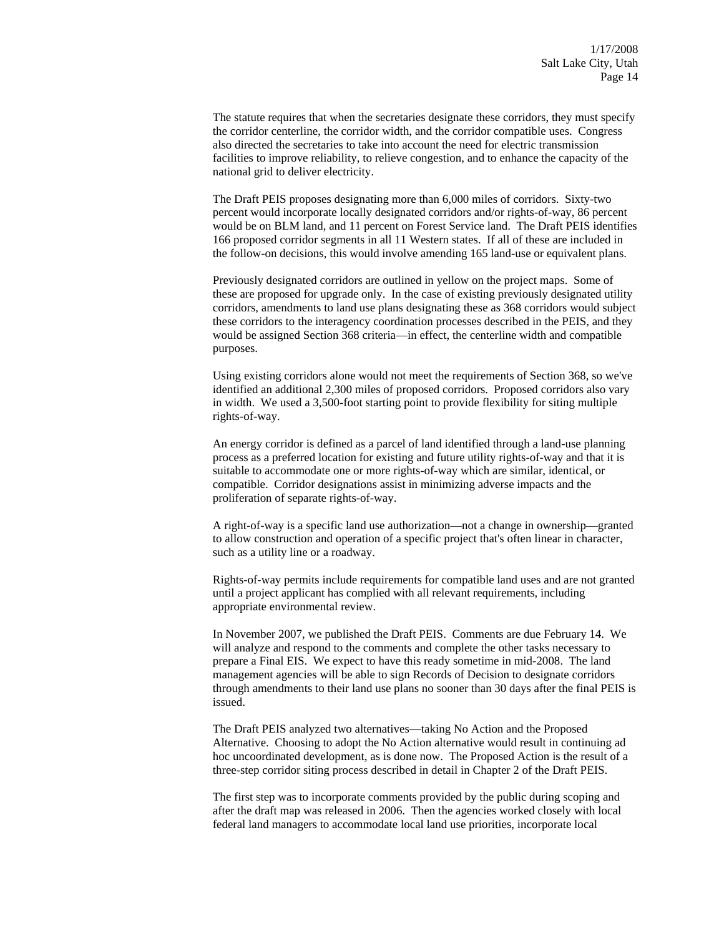The statute requires that when the secretaries designate these corridors, they must specify the corridor centerline, the corridor width, and the corridor compatible uses. Congress also directed the secretaries to take into account the need for electric transmission facilities to improve reliability, to relieve congestion, and to enhance the capacity of the national grid to deliver electricity.

The Draft PEIS proposes designating more than 6,000 miles of corridors. Sixty-two percent would incorporate locally designated corridors and/or rights-of-way, 86 percent would be on BLM land, and 11 percent on Forest Service land. The Draft PEIS identifies 166 proposed corridor segments in all 11 Western states. If all of these are included in the follow-on decisions, this would involve amending 165 land-use or equivalent plans.

Previously designated corridors are outlined in yellow on the project maps. Some of these are proposed for upgrade only. In the case of existing previously designated utility corridors, amendments to land use plans designating these as 368 corridors would subject these corridors to the interagency coordination processes described in the PEIS, and they would be assigned Section 368 criteria—in effect, the centerline width and compatible purposes.

Using existing corridors alone would not meet the requirements of Section 368, so we've identified an additional 2,300 miles of proposed corridors. Proposed corridors also vary in width. We used a 3,500-foot starting point to provide flexibility for siting multiple rights-of-way.

An energy corridor is defined as a parcel of land identified through a land-use planning process as a preferred location for existing and future utility rights-of-way and that it is suitable to accommodate one or more rights-of-way which are similar, identical, or compatible. Corridor designations assist in minimizing adverse impacts and the proliferation of separate rights-of-way.

A right-of-way is a specific land use authorization—not a change in ownership—granted to allow construction and operation of a specific project that's often linear in character, such as a utility line or a roadway.

Rights-of-way permits include requirements for compatible land uses and are not granted until a project applicant has complied with all relevant requirements, including appropriate environmental review.

In November 2007, we published the Draft PEIS. Comments are due February 14. We will analyze and respond to the comments and complete the other tasks necessary to prepare a Final EIS. We expect to have this ready sometime in mid-2008. The land management agencies will be able to sign Records of Decision to designate corridors through amendments to their land use plans no sooner than 30 days after the final PEIS is issued.

The Draft PEIS analyzed two alternatives—taking No Action and the Proposed Alternative. Choosing to adopt the No Action alternative would result in continuing ad hoc uncoordinated development, as is done now. The Proposed Action is the result of a three-step corridor siting process described in detail in Chapter 2 of the Draft PEIS.

The first step was to incorporate comments provided by the public during scoping and after the draft map was released in 2006. Then the agencies worked closely with local federal land managers to accommodate local land use priorities, incorporate local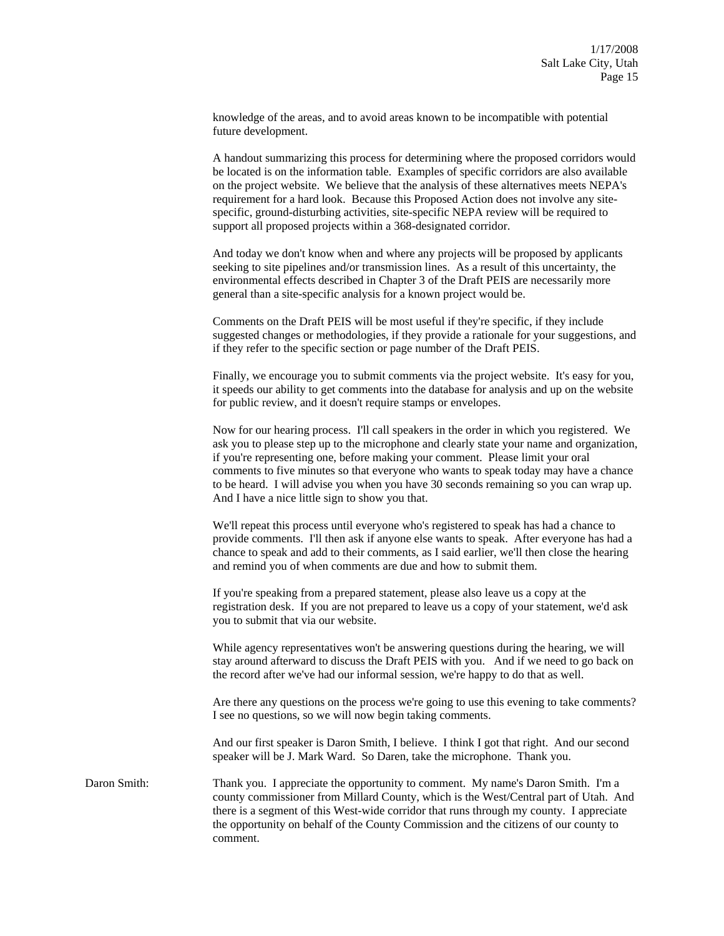knowledge of the areas, and to avoid areas known to be incompatible with potential future development.

A handout summarizing this process for determining where the proposed corridors would be located is on the information table. Examples of specific corridors are also available on the project website. We believe that the analysis of these alternatives meets NEPA's requirement for a hard look. Because this Proposed Action does not involve any sitespecific, ground-disturbing activities, site-specific NEPA review will be required to support all proposed projects within a 368-designated corridor.

And today we don't know when and where any projects will be proposed by applicants seeking to site pipelines and/or transmission lines. As a result of this uncertainty, the environmental effects described in Chapter 3 of the Draft PEIS are necessarily more general than a site-specific analysis for a known project would be.

Comments on the Draft PEIS will be most useful if they're specific, if they include suggested changes or methodologies, if they provide a rationale for your suggestions, and if they refer to the specific section or page number of the Draft PEIS.

Finally, we encourage you to submit comments via the project website. It's easy for you, it speeds our ability to get comments into the database for analysis and up on the website for public review, and it doesn't require stamps or envelopes.

Now for our hearing process. I'll call speakers in the order in which you registered. We ask you to please step up to the microphone and clearly state your name and organization, if you're representing one, before making your comment. Please limit your oral comments to five minutes so that everyone who wants to speak today may have a chance to be heard. I will advise you when you have 30 seconds remaining so you can wrap up. And I have a nice little sign to show you that.

We'll repeat this process until everyone who's registered to speak has had a chance to provide comments. I'll then ask if anyone else wants to speak. After everyone has had a chance to speak and add to their comments, as I said earlier, we'll then close the hearing and remind you of when comments are due and how to submit them.

If you're speaking from a prepared statement, please also leave us a copy at the registration desk. If you are not prepared to leave us a copy of your statement, we'd ask you to submit that via our website.

While agency representatives won't be answering questions during the hearing, we will stay around afterward to discuss the Draft PEIS with you. And if we need to go back on the record after we've had our informal session, we're happy to do that as well.

Are there any questions on the process we're going to use this evening to take comments? I see no questions, so we will now begin taking comments.

And our first speaker is Daron Smith, I believe. I think I got that right. And our second speaker will be J. Mark Ward. So Daren, take the microphone. Thank you.

Daron Smith: Thank you. I appreciate the opportunity to comment. My name's Daron Smith. I'm a county commissioner from Millard County, which is the West/Central part of Utah. And there is a segment of this West-wide corridor that runs through my county. I appreciate the opportunity on behalf of the County Commission and the citizens of our county to comment.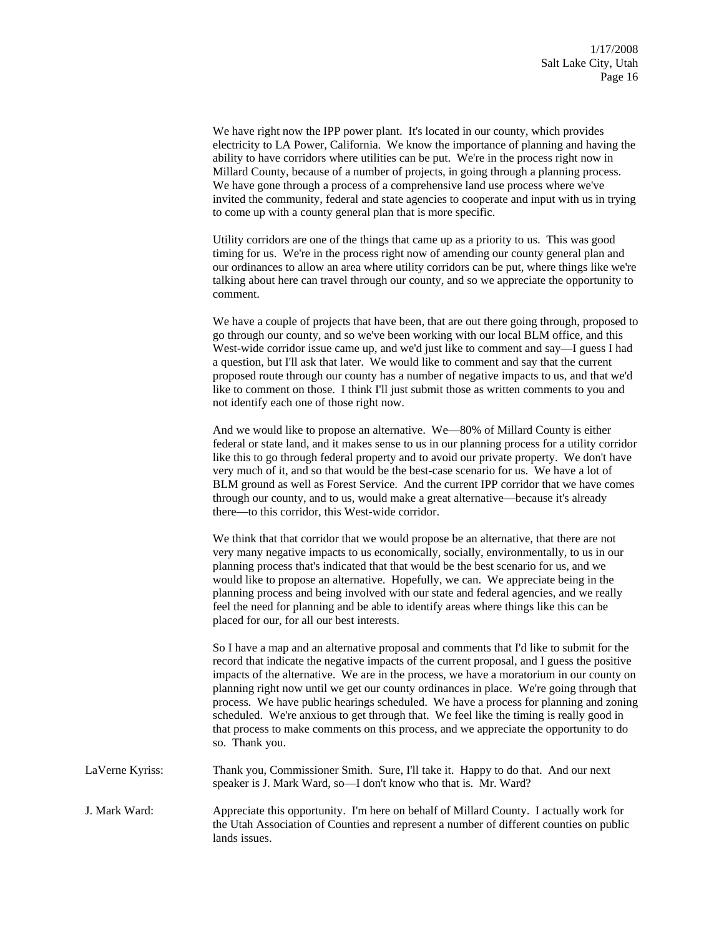We have right now the IPP power plant. It's located in our county, which provides electricity to LA Power, California. We know the importance of planning and having the ability to have corridors where utilities can be put. We're in the process right now in Millard County, because of a number of projects, in going through a planning process. We have gone through a process of a comprehensive land use process where we've invited the community, federal and state agencies to cooperate and input with us in trying to come up with a county general plan that is more specific.

Utility corridors are one of the things that came up as a priority to us. This was good timing for us. We're in the process right now of amending our county general plan and our ordinances to allow an area where utility corridors can be put, where things like we're talking about here can travel through our county, and so we appreciate the opportunity to comment.

We have a couple of projects that have been, that are out there going through, proposed to go through our county, and so we've been working with our local BLM office, and this West-wide corridor issue came up, and we'd just like to comment and say—I guess I had a question, but I'll ask that later. We would like to comment and say that the current proposed route through our county has a number of negative impacts to us, and that we'd like to comment on those. I think I'll just submit those as written comments to you and not identify each one of those right now.

And we would like to propose an alternative. We—80% of Millard County is either federal or state land, and it makes sense to us in our planning process for a utility corridor like this to go through federal property and to avoid our private property. We don't have very much of it, and so that would be the best-case scenario for us. We have a lot of BLM ground as well as Forest Service. And the current IPP corridor that we have comes through our county, and to us, would make a great alternative—because it's already there—to this corridor, this West-wide corridor.

We think that that corridor that we would propose be an alternative, that there are not very many negative impacts to us economically, socially, environmentally, to us in our planning process that's indicated that that would be the best scenario for us, and we would like to propose an alternative. Hopefully, we can. We appreciate being in the planning process and being involved with our state and federal agencies, and we really feel the need for planning and be able to identify areas where things like this can be placed for our, for all our best interests.

So I have a map and an alternative proposal and comments that I'd like to submit for the record that indicate the negative impacts of the current proposal, and I guess the positive impacts of the alternative. We are in the process, we have a moratorium in our county on planning right now until we get our county ordinances in place. We're going through that process. We have public hearings scheduled. We have a process for planning and zoning scheduled. We're anxious to get through that. We feel like the timing is really good in that process to make comments on this process, and we appreciate the opportunity to do so. Thank you.

LaVerne Kyriss: Thank you, Commissioner Smith. Sure, I'll take it. Happy to do that. And our next speaker is J. Mark Ward, so—I don't know who that is. Mr. Ward?

J. Mark Ward: Appreciate this opportunity. I'm here on behalf of Millard County. I actually work for the Utah Association of Counties and represent a number of different counties on public lands issues.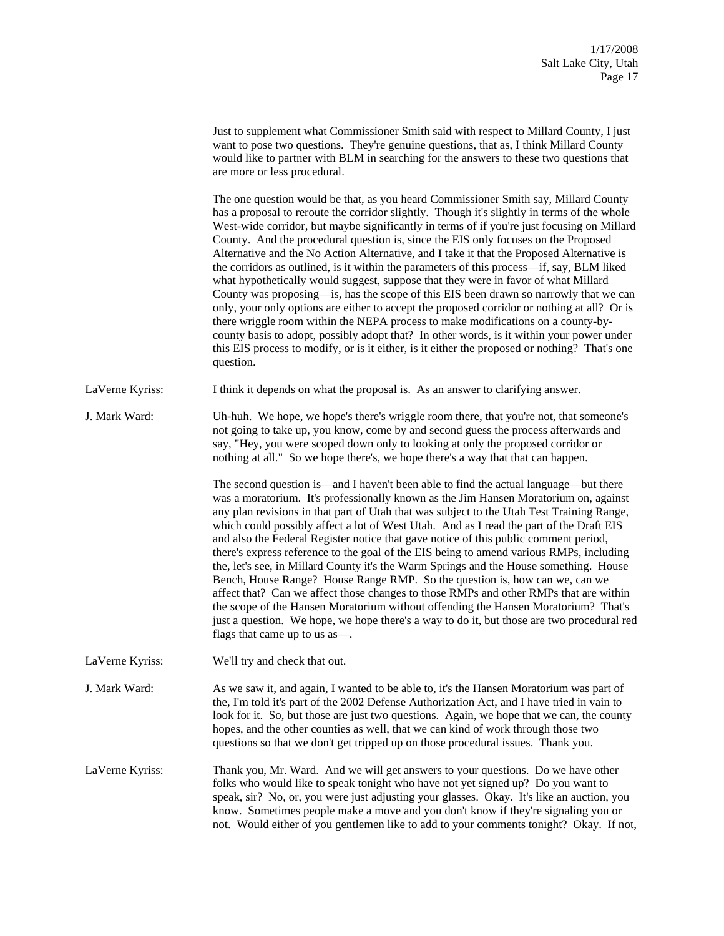|                 | Just to supplement what Commissioner Smith said with respect to Millard County, I just<br>want to pose two questions. They're genuine questions, that as, I think Millard County<br>would like to partner with BLM in searching for the answers to these two questions that<br>are more or less procedural.                                                                                                                                                                                                                                                                                                                                                                                                                                                                                                                                                                                                                                                                                                                                                                                                                                   |
|-----------------|-----------------------------------------------------------------------------------------------------------------------------------------------------------------------------------------------------------------------------------------------------------------------------------------------------------------------------------------------------------------------------------------------------------------------------------------------------------------------------------------------------------------------------------------------------------------------------------------------------------------------------------------------------------------------------------------------------------------------------------------------------------------------------------------------------------------------------------------------------------------------------------------------------------------------------------------------------------------------------------------------------------------------------------------------------------------------------------------------------------------------------------------------|
|                 | The one question would be that, as you heard Commissioner Smith say, Millard County<br>has a proposal to reroute the corridor slightly. Though it's slightly in terms of the whole<br>West-wide corridor, but maybe significantly in terms of if you're just focusing on Millard<br>County. And the procedural question is, since the EIS only focuses on the Proposed<br>Alternative and the No Action Alternative, and I take it that the Proposed Alternative is<br>the corridors as outlined, is it within the parameters of this process—if, say, BLM liked<br>what hypothetically would suggest, suppose that they were in favor of what Millard<br>County was proposing—is, has the scope of this EIS been drawn so narrowly that we can<br>only, your only options are either to accept the proposed corridor or nothing at all? Or is<br>there wriggle room within the NEPA process to make modifications on a county-by-<br>county basis to adopt, possibly adopt that? In other words, is it within your power under<br>this EIS process to modify, or is it either, is it either the proposed or nothing? That's one<br>question. |
| LaVerne Kyriss: | I think it depends on what the proposal is. As an answer to clarifying answer.                                                                                                                                                                                                                                                                                                                                                                                                                                                                                                                                                                                                                                                                                                                                                                                                                                                                                                                                                                                                                                                                |
| J. Mark Ward:   | Uh-huh. We hope, we hope's there's wriggle room there, that you're not, that someone's<br>not going to take up, you know, come by and second guess the process afterwards and<br>say, "Hey, you were scoped down only to looking at only the proposed corridor or<br>nothing at all." So we hope there's, we hope there's a way that that can happen.                                                                                                                                                                                                                                                                                                                                                                                                                                                                                                                                                                                                                                                                                                                                                                                         |
|                 | The second question is—and I haven't been able to find the actual language—but there<br>was a moratorium. It's professionally known as the Jim Hansen Moratorium on, against<br>any plan revisions in that part of Utah that was subject to the Utah Test Training Range,<br>which could possibly affect a lot of West Utah. And as I read the part of the Draft EIS<br>and also the Federal Register notice that gave notice of this public comment period,<br>there's express reference to the goal of the EIS being to amend various RMPs, including<br>the, let's see, in Millard County it's the Warm Springs and the House something. House<br>Bench, House Range? House Range RMP. So the question is, how can we, can we<br>affect that? Can we affect those changes to those RMPs and other RMPs that are within<br>the scope of the Hansen Moratorium without offending the Hansen Moratorium? That's<br>just a question. We hope, we hope there's a way to do it, but those are two procedural red<br>flags that came up to us as—.                                                                                                |
| LaVerne Kyriss: | We'll try and check that out.                                                                                                                                                                                                                                                                                                                                                                                                                                                                                                                                                                                                                                                                                                                                                                                                                                                                                                                                                                                                                                                                                                                 |
| J. Mark Ward:   | As we saw it, and again, I wanted to be able to, it's the Hansen Moratorium was part of<br>the, I'm told it's part of the 2002 Defense Authorization Act, and I have tried in vain to<br>look for it. So, but those are just two questions. Again, we hope that we can, the county<br>hopes, and the other counties as well, that we can kind of work through those two<br>questions so that we don't get tripped up on those procedural issues. Thank you.                                                                                                                                                                                                                                                                                                                                                                                                                                                                                                                                                                                                                                                                                   |
| LaVerne Kyriss: | Thank you, Mr. Ward. And we will get answers to your questions. Do we have other<br>folks who would like to speak tonight who have not yet signed up? Do you want to<br>speak, sir? No, or, you were just adjusting your glasses. Okay. It's like an auction, you<br>know. Sometimes people make a move and you don't know if they're signaling you or<br>not. Would either of you gentlemen like to add to your comments tonight? Okay. If not,                                                                                                                                                                                                                                                                                                                                                                                                                                                                                                                                                                                                                                                                                              |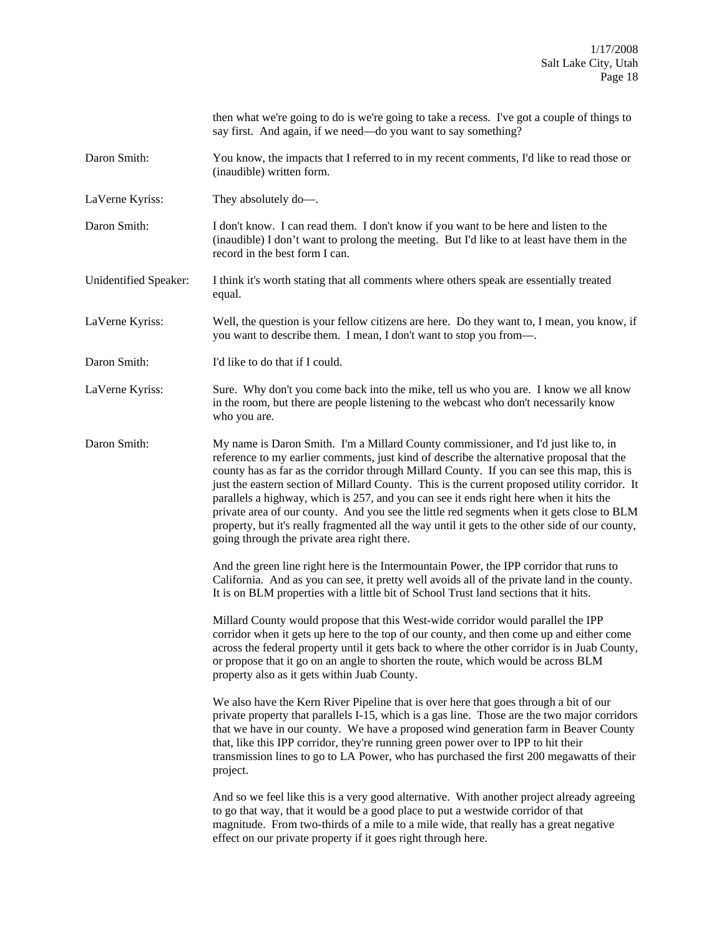|                       | then what we're going to do is we're going to take a recess. I've got a couple of things to<br>say first. And again, if we need—do you want to say something?                                                                                                                                                                                                                                                                                                                                                                                                                                                                                                                                                            |
|-----------------------|--------------------------------------------------------------------------------------------------------------------------------------------------------------------------------------------------------------------------------------------------------------------------------------------------------------------------------------------------------------------------------------------------------------------------------------------------------------------------------------------------------------------------------------------------------------------------------------------------------------------------------------------------------------------------------------------------------------------------|
| Daron Smith:          | You know, the impacts that I referred to in my recent comments, I'd like to read those or<br>(inaudible) written form.                                                                                                                                                                                                                                                                                                                                                                                                                                                                                                                                                                                                   |
| LaVerne Kyriss:       | They absolutely do-.                                                                                                                                                                                                                                                                                                                                                                                                                                                                                                                                                                                                                                                                                                     |
| Daron Smith:          | I don't know. I can read them. I don't know if you want to be here and listen to the<br>(inaudible) I don't want to prolong the meeting. But I'd like to at least have them in the<br>record in the best form I can.                                                                                                                                                                                                                                                                                                                                                                                                                                                                                                     |
| Unidentified Speaker: | I think it's worth stating that all comments where others speak are essentially treated<br>equal.                                                                                                                                                                                                                                                                                                                                                                                                                                                                                                                                                                                                                        |
| LaVerne Kyriss:       | Well, the question is your fellow citizens are here. Do they want to, I mean, you know, if<br>you want to describe them. I mean, I don't want to stop you from-                                                                                                                                                                                                                                                                                                                                                                                                                                                                                                                                                          |
| Daron Smith:          | I'd like to do that if I could.                                                                                                                                                                                                                                                                                                                                                                                                                                                                                                                                                                                                                                                                                          |
| LaVerne Kyriss:       | Sure. Why don't you come back into the mike, tell us who you are. I know we all know<br>in the room, but there are people listening to the webcast who don't necessarily know<br>who you are.                                                                                                                                                                                                                                                                                                                                                                                                                                                                                                                            |
| Daron Smith:          | My name is Daron Smith. I'm a Millard County commissioner, and I'd just like to, in<br>reference to my earlier comments, just kind of describe the alternative proposal that the<br>county has as far as the corridor through Millard County. If you can see this map, this is<br>just the eastern section of Millard County. This is the current proposed utility corridor. It<br>parallels a highway, which is 257, and you can see it ends right here when it hits the<br>private area of our county. And you see the little red segments when it gets close to BLM<br>property, but it's really fragmented all the way until it gets to the other side of our county,<br>going through the private area right there. |
|                       | And the green line right here is the Intermountain Power, the IPP corridor that runs to<br>California. And as you can see, it pretty well avoids all of the private land in the county.<br>It is on BLM properties with a little bit of School Trust land sections that it hits.                                                                                                                                                                                                                                                                                                                                                                                                                                         |
|                       | Millard County would propose that this West-wide corridor would parallel the IPP<br>corridor when it gets up here to the top of our county, and then come up and either come<br>across the federal property until it gets back to where the other corridor is in Juab County,<br>or propose that it go on an angle to shorten the route, which would be across BLM<br>property also as it gets within Juab County.                                                                                                                                                                                                                                                                                                       |
|                       | We also have the Kern River Pipeline that is over here that goes through a bit of our<br>private property that parallels I-15, which is a gas line. Those are the two major corridors<br>that we have in our county. We have a proposed wind generation farm in Beaver County<br>that, like this IPP corridor, they're running green power over to IPP to hit their<br>transmission lines to go to LA Power, who has purchased the first 200 megawatts of their<br>project.                                                                                                                                                                                                                                              |
|                       | And so we feel like this is a very good alternative. With another project already agreeing<br>to go that way, that it would be a good place to put a westwide corridor of that<br>magnitude. From two-thirds of a mile to a mile wide, that really has a great negative<br>effect on our private property if it goes right through here.                                                                                                                                                                                                                                                                                                                                                                                 |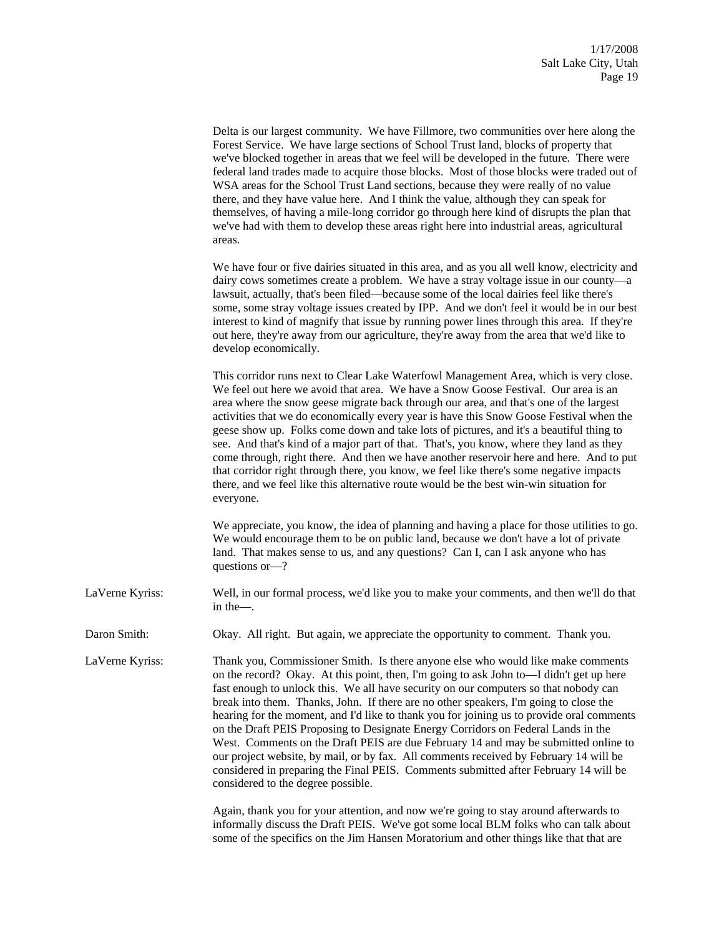|                 | Delta is our largest community. We have Fillmore, two communities over here along the<br>Forest Service. We have large sections of School Trust land, blocks of property that<br>we've blocked together in areas that we feel will be developed in the future. There were<br>federal land trades made to acquire those blocks. Most of those blocks were traded out of<br>WSA areas for the School Trust Land sections, because they were really of no value<br>there, and they have value here. And I think the value, although they can speak for<br>themselves, of having a mile-long corridor go through here kind of disrupts the plan that<br>we've had with them to develop these areas right here into industrial areas, agricultural<br>areas.                                                                                                      |
|-----------------|--------------------------------------------------------------------------------------------------------------------------------------------------------------------------------------------------------------------------------------------------------------------------------------------------------------------------------------------------------------------------------------------------------------------------------------------------------------------------------------------------------------------------------------------------------------------------------------------------------------------------------------------------------------------------------------------------------------------------------------------------------------------------------------------------------------------------------------------------------------|
|                 | We have four or five dairies situated in this area, and as you all well know, electricity and<br>dairy cows sometimes create a problem. We have a stray voltage issue in our county—a<br>lawsuit, actually, that's been filed—because some of the local dairies feel like there's<br>some, some stray voltage issues created by IPP. And we don't feel it would be in our best<br>interest to kind of magnify that issue by running power lines through this area. If they're<br>out here, they're away from our agriculture, they're away from the area that we'd like to<br>develop economically.                                                                                                                                                                                                                                                          |
|                 | This corridor runs next to Clear Lake Waterfowl Management Area, which is very close.<br>We feel out here we avoid that area. We have a Snow Goose Festival. Our area is an<br>area where the snow geese migrate back through our area, and that's one of the largest<br>activities that we do economically every year is have this Snow Goose Festival when the<br>geese show up. Folks come down and take lots of pictures, and it's a beautiful thing to<br>see. And that's kind of a major part of that. That's, you know, where they land as they<br>come through, right there. And then we have another reservoir here and here. And to put<br>that corridor right through there, you know, we feel like there's some negative impacts<br>there, and we feel like this alternative route would be the best win-win situation for<br>everyone.          |
|                 | We appreciate, you know, the idea of planning and having a place for those utilities to go.<br>We would encourage them to be on public land, because we don't have a lot of private<br>land. That makes sense to us, and any questions? Can I, can I ask anyone who has<br>questions or-?                                                                                                                                                                                                                                                                                                                                                                                                                                                                                                                                                                    |
| LaVerne Kyriss: | Well, in our formal process, we'd like you to make your comments, and then we'll do that<br>in the-                                                                                                                                                                                                                                                                                                                                                                                                                                                                                                                                                                                                                                                                                                                                                          |
| Daron Smith:    | Okay. All right. But again, we appreciate the opportunity to comment. Thank you.                                                                                                                                                                                                                                                                                                                                                                                                                                                                                                                                                                                                                                                                                                                                                                             |
| LaVerne Kyriss: | Thank you, Commissioner Smith. Is there anyone else who would like make comments<br>on the record? Okay. At this point, then, I'm going to ask John to—I didn't get up here<br>fast enough to unlock this. We all have security on our computers so that nobody can<br>break into them. Thanks, John. If there are no other speakers, I'm going to close the<br>hearing for the moment, and I'd like to thank you for joining us to provide oral comments<br>on the Draft PEIS Proposing to Designate Energy Corridors on Federal Lands in the<br>West. Comments on the Draft PEIS are due February 14 and may be submitted online to<br>our project website, by mail, or by fax. All comments received by February 14 will be<br>considered in preparing the Final PEIS. Comments submitted after February 14 will be<br>considered to the degree possible. |
|                 | Again, thank you for your attention, and now we're going to stay around afterwards to<br>informally discuss the Draft PEIS. We've got some local BLM folks who can talk about                                                                                                                                                                                                                                                                                                                                                                                                                                                                                                                                                                                                                                                                                |

informally discuss the Draft PEIS. We've got some local BLM folks who can talk about some of the specifics on the Jim Hansen Moratorium and other things like that that are